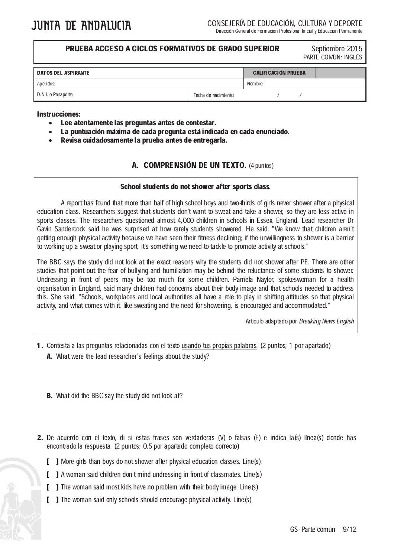l

## **PRUEBA ACCESO A CICLOS FORMATIVOS DE GRADO SUPERIOR** Septiembre 2015

PARTE COMÚN: INGLÉS

| <b>DATOS DEL ASPIRANTE</b> |                      | <b>CALIFICACIÓN PRUEBA</b> |  |  |  |
|----------------------------|----------------------|----------------------------|--|--|--|
| Apellidos:                 |                      | Nombre:                    |  |  |  |
| D.N.I. o Pasaporte:        | Fecha de nacimiento: |                            |  |  |  |

#### Instrucciones:

- Lee atentamente las preguntas antes de contestar.
- La puntuación máxima de cada pregunta está indicada en cada enunciado.
- Revisa cuidadosamente la prueba antes de entregarla.

### A. COMPRENSIÓN DE UN TEXTO. (4 puntos)

#### School students do not shower after sports class.

A report has found that more than half of high school boys and two-thirds of girls never shower after a physical education class. Researchers suggest that students don't want to sweat and take a shower, so they are less active in sports classes. The researchers questioned almost 4,000 children in schools in Essex, England. Lead researcher Dr Gavin Sandercock said he was surprised at how rarely students showered. He said: "We know that children aren't getting enough physical activity because we have seen their fitness declining; if the unwillingness to shower is a barrier to working up a sweat or playing sport, it's something we need to tackle to promote activity at schools."

The BBC says the study did not look at the exact reasons why the students did not shower after PE. There are other studies that point out the fear of bullying and humiliation may be behind the reluctance of some students to shower. Undressing in front of peers may be too much for some children. Pamela Naylor, spokeswoman for a health organisation in England, said many children had concerns about their body image and that schools needed to address this. She said: "Schools, workplaces and local authorities all have a role to play in shifting attitudes so that physical activity, and what comes with it, like sweating and the need for showering, is encouraged and accommodated."

Artículo adaptado por Breaking News English

- 1. Contesta a las preguntas relacionadas con el texto usando tus propias palabras. (2 puntos; 1 por apartado) A. What were the lead researcher's feelings about the study?
	- **B.** What did the BBC say the study did not look at?
- 2. De acuerdo con el texto, di si estas frases son verdaderas (V) o falsas (F) e indica la(s) línea(s) donde has encontrado la respuesta. (2 puntos; 0,5 por apartado completo correcto)
	- [ ] More girls than boys do not shower after physical education classes. Line(s).
	- [ ] A woman said children don't mind undressing in front of classmates. Line(s)
	- [ ] The woman said most kids have no problem with their body image. Line(s)
	- [ ] The woman said only schools should encourage physical activity. Line(s)